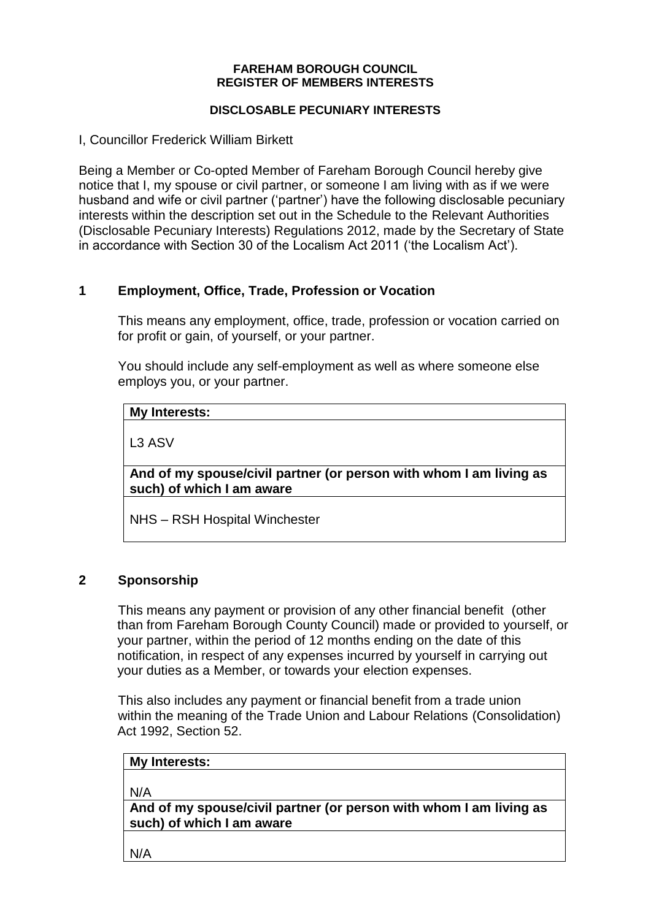#### **FAREHAM BOROUGH COUNCIL REGISTER OF MEMBERS INTERESTS**

#### **DISCLOSABLE PECUNIARY INTERESTS**

I, Councillor Frederick William Birkett

Being a Member or Co-opted Member of Fareham Borough Council hereby give notice that I, my spouse or civil partner, or someone I am living with as if we were husband and wife or civil partner ('partner') have the following disclosable pecuniary interests within the description set out in the Schedule to the Relevant Authorities (Disclosable Pecuniary Interests) Regulations 2012, made by the Secretary of State in accordance with Section 30 of the Localism Act 2011 ('the Localism Act').

# **1 Employment, Office, Trade, Profession or Vocation**

This means any employment, office, trade, profession or vocation carried on for profit or gain, of yourself, or your partner.

You should include any self-employment as well as where someone else employs you, or your partner.

#### **My Interests:**

L3 ASV

**And of my spouse/civil partner (or person with whom I am living as such) of which I am aware**

NHS – RSH Hospital Winchester

#### **2 Sponsorship**

This means any payment or provision of any other financial benefit (other than from Fareham Borough County Council) made or provided to yourself, or your partner, within the period of 12 months ending on the date of this notification, in respect of any expenses incurred by yourself in carrying out your duties as a Member, or towards your election expenses.

This also includes any payment or financial benefit from a trade union within the meaning of the Trade Union and Labour Relations (Consolidation) Act 1992, Section 52.

| My Interests:                                                             |  |
|---------------------------------------------------------------------------|--|
|                                                                           |  |
| N/A                                                                       |  |
| $\mid$ And of my spouse/civil partner (or person with whom I am living as |  |

**And of my spouse/civil partner (or person with whom I am living as such) of which I am aware**

N/A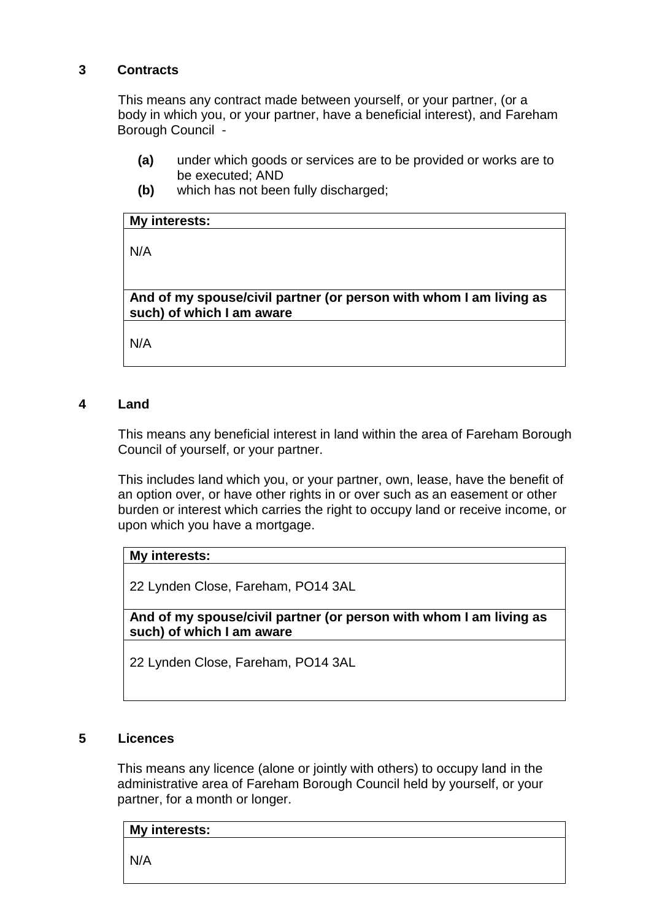#### **3 Contracts**

This means any contract made between yourself, or your partner, (or a body in which you, or your partner, have a beneficial interest), and Fareham Borough Council -

- **(a)** under which goods or services are to be provided or works are to be executed; AND
- **(b)** which has not been fully discharged;

# **My interests:**

N/A

**And of my spouse/civil partner (or person with whom I am living as such) of which I am aware**

N/A

#### **4 Land**

This means any beneficial interest in land within the area of Fareham Borough Council of yourself, or your partner.

This includes land which you, or your partner, own, lease, have the benefit of an option over, or have other rights in or over such as an easement or other burden or interest which carries the right to occupy land or receive income, or upon which you have a mortgage.

# **My interests:**

22 Lynden Close, Fareham, PO14 3AL

**And of my spouse/civil partner (or person with whom I am living as such) of which I am aware**

22 Lynden Close, Fareham, PO14 3AL

#### **5 Licences**

This means any licence (alone or jointly with others) to occupy land in the administrative area of Fareham Borough Council held by yourself, or your partner, for a month or longer.

# **My interests:** N/A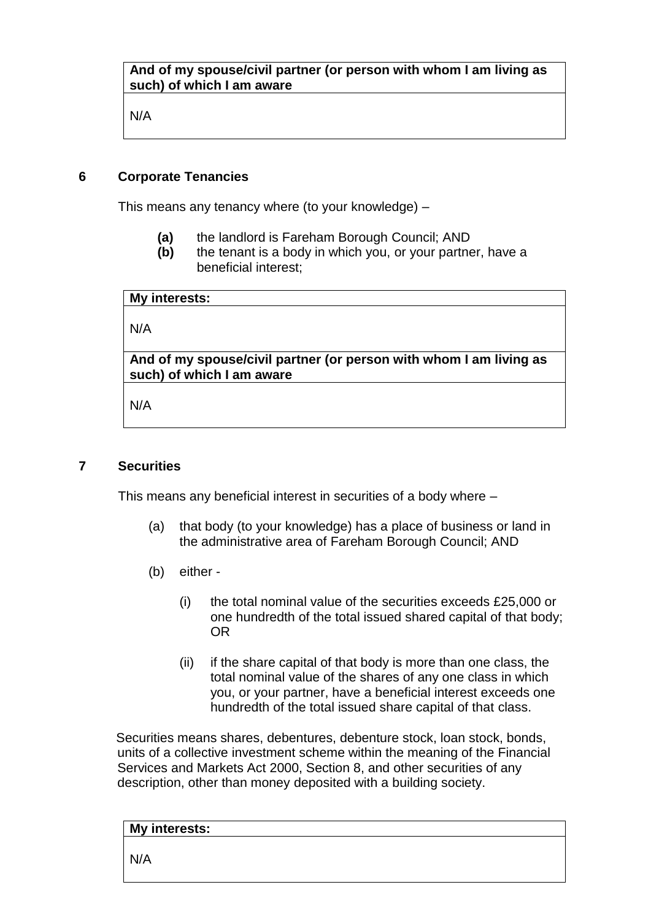#### **And of my spouse/civil partner (or person with whom I am living as such) of which I am aware**

N/A

#### **6 Corporate Tenancies**

This means any tenancy where (to your knowledge) –

- **(a)** the landlord is Fareham Borough Council; AND
- **(b)** the tenant is a body in which you, or your partner, have a beneficial interest;

**My interests:**

N/A

**And of my spouse/civil partner (or person with whom I am living as such) of which I am aware**

N/A

#### **7 Securities**

This means any beneficial interest in securities of a body where –

- (a) that body (to your knowledge) has a place of business or land in the administrative area of Fareham Borough Council; AND
- (b) either
	- (i) the total nominal value of the securities exceeds £25,000 or one hundredth of the total issued shared capital of that body; OR
	- (ii) if the share capital of that body is more than one class, the total nominal value of the shares of any one class in which you, or your partner, have a beneficial interest exceeds one hundredth of the total issued share capital of that class.

Securities means shares, debentures, debenture stock, loan stock, bonds, units of a collective investment scheme within the meaning of the Financial Services and Markets Act 2000, Section 8, and other securities of any description, other than money deposited with a building society.

| My interests: |  |  |
|---------------|--|--|
| N/A           |  |  |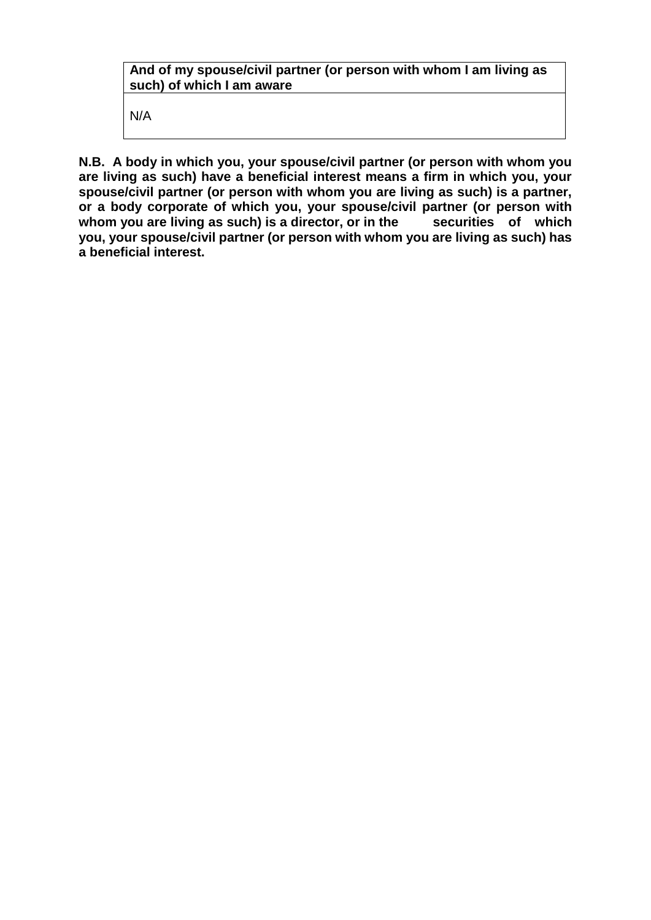# **And of my spouse/civil partner (or person with whom I am living as such) of which I am aware**

N/A

**N.B. A body in which you, your spouse/civil partner (or person with whom you are living as such) have a beneficial interest means a firm in which you, your spouse/civil partner (or person with whom you are living as such) is a partner, or a body corporate of which you, your spouse/civil partner (or person with**  whom you are living as such) is a director, or in the securities of which **you, your spouse/civil partner (or person with whom you are living as such) has a beneficial interest.**